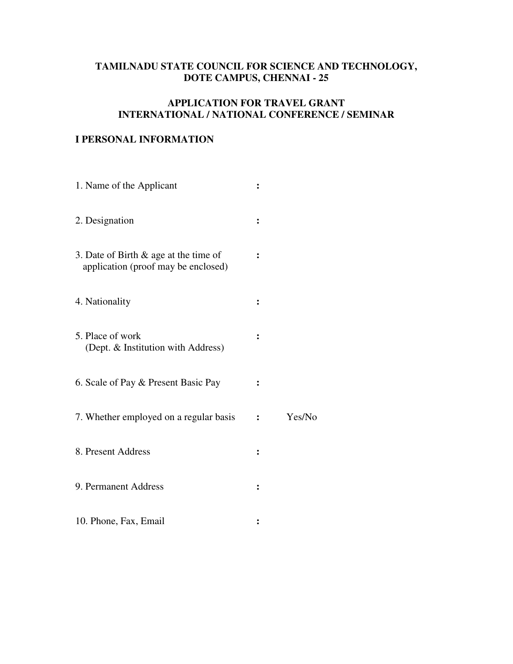# **TAMILNADU STATE COUNCIL FOR SCIENCE AND TECHNOLOGY, DOTE CAMPUS, CHENNAI - 25**

## **APPLICATION FOR TRAVEL GRANT INTERNATIONAL / NATIONAL CONFERENCE / SEMINAR**

## **I PERSONAL INFORMATION**

| 1. Name of the Applicant                                                        |   |        |
|---------------------------------------------------------------------------------|---|--------|
| 2. Designation                                                                  | ፡ |        |
| 3. Date of Birth $\&$ age at the time of<br>application (proof may be enclosed) |   |        |
| 4. Nationality                                                                  |   |        |
| 5. Place of work<br>(Dept. & Institution with Address)                          | ፡ |        |
| 6. Scale of Pay & Present Basic Pay                                             |   |        |
| 7. Whether employed on a regular basis                                          |   | Yes/No |
| 8. Present Address                                                              | ፡ |        |
| 9. Permanent Address                                                            |   |        |
| 10. Phone, Fax, Email                                                           |   |        |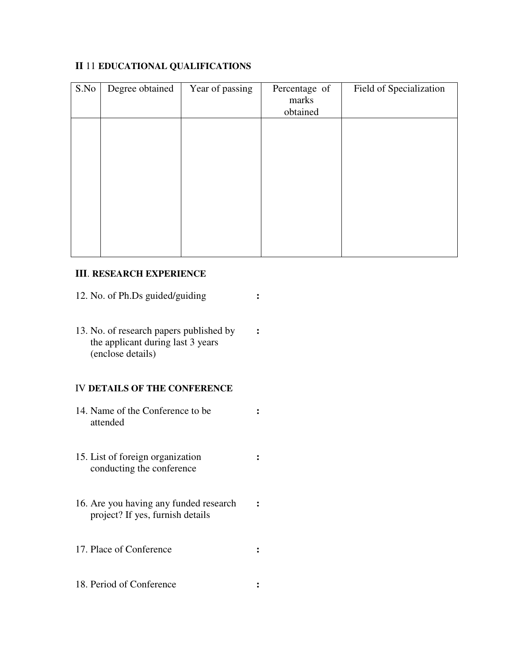## **II** 11 **EDUCATIONAL QUALIFICATIONS**

| S.No | Degree obtained | Year of passing | Percentage of<br>marks<br>obtained | Field of Specialization |
|------|-----------------|-----------------|------------------------------------|-------------------------|
|      |                 |                 |                                    |                         |
|      |                 |                 |                                    |                         |
|      |                 |                 |                                    |                         |
|      |                 |                 |                                    |                         |
|      |                 |                 |                                    |                         |

## **III**. **RESEARCH EXPERIENCE**

- 12. No. of Ph.Ds guided/guiding **:**
- 13. No. of research papers published by **:** the applicant during last 3 years (enclose details)

### IV **DETAILS OF THE CONFERENCE**

- 14. Name of the Conference to be **:** attended
- 15. List of foreign organization **:**  conducting the conference
- 16. Are you having any funded research **:**  project? If yes, furnish details
- 17. Place of Conference **:**
- 18. Period of Conference **:**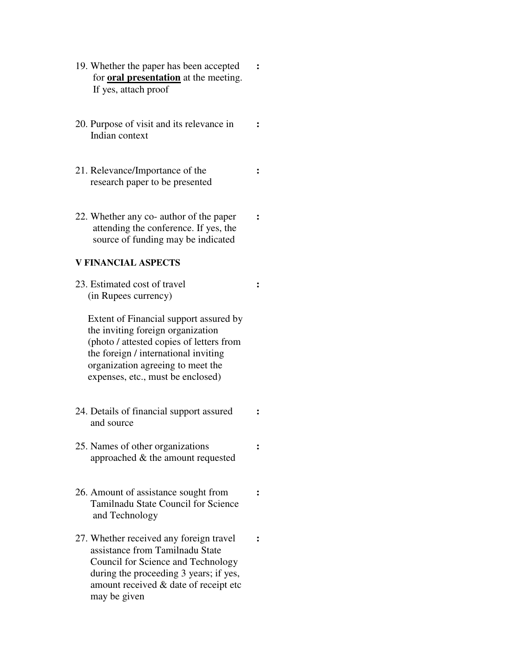- 19. Whether the paper has been accepted **:** for **oral presentation** at the meeting. If yes, attach proof
- 20. Purpose of visit and its relevance in **:** Indian context
- 21. Relevance/Importance of the **:** research paper to be presented
- 22. Whether any co- author of the paper **:**  attending the conference. If yes, the source of funding may be indicated

### **V FINANCIAL ASPECTS**

23. Estimated cost of travel **:** (in Rupees currency)

 Extent of Financial support assured by the inviting foreign organization (photo / attested copies of letters from the foreign / international inviting organization agreeing to meet the expenses, etc., must be enclosed)

- 24. Details of financial support assured **:**  and source
- 25. Names of other organizations **:**  approached & the amount requested
- 26. Amount of assistance sought from **:**  Tamilnadu State Council for Science and Technology
- 27. Whether received any foreign travel **:** assistance from Tamilnadu State Council for Science and Technology during the proceeding 3 years; if yes, amount received & date of receipt etc may be given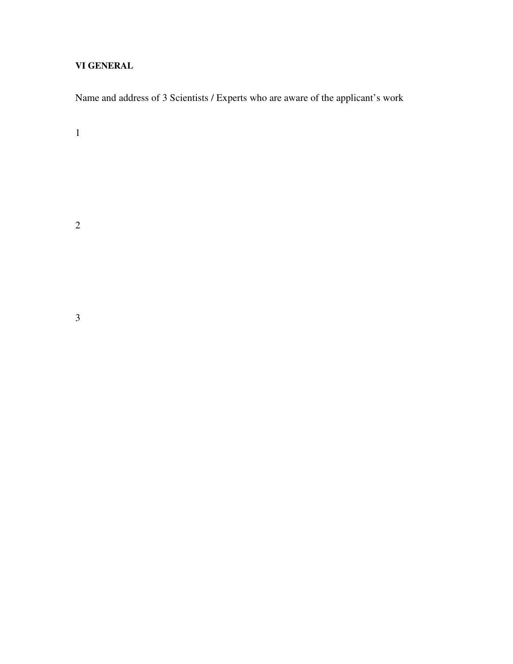# **VI GENERAL**

Name and address of 3 Scientists / Experts who are aware of the applicant's work

1

2

3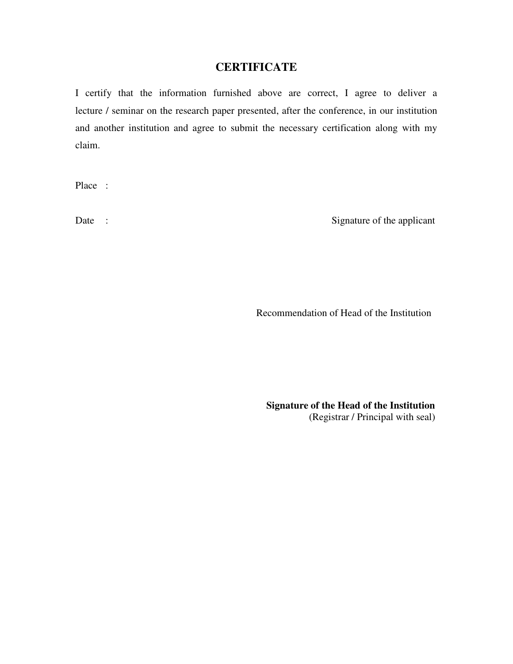# **CERTIFICATE**

I certify that the information furnished above are correct, I agree to deliver a lecture / seminar on the research paper presented, after the conference, in our institution and another institution and agree to submit the necessary certification along with my claim.

Place :

Date : Signature of the applicant

Recommendation of Head of the Institution

 **Signature of the Head of the Institution**  (Registrar / Principal with seal)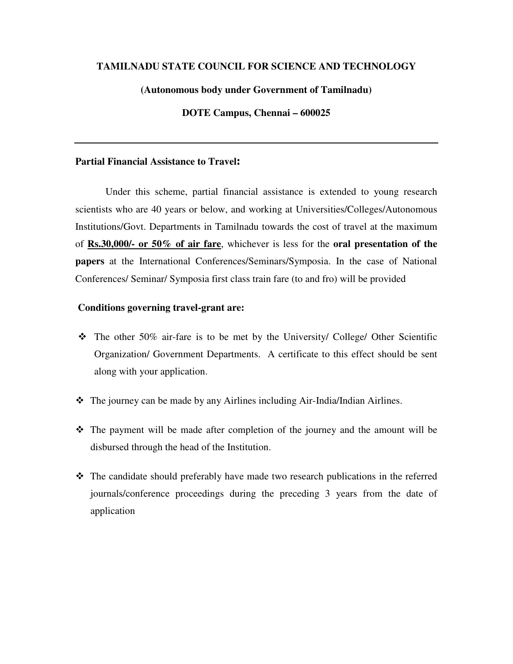### **TAMILNADU STATE COUNCIL FOR SCIENCE AND TECHNOLOGY**

### **(Autonomous body under Government of Tamilnadu)**

### **DOTE Campus, Chennai – 600025**

### **Partial Financial Assistance to Travel**:

 Under this scheme, partial financial assistance is extended to young research scientists who are 40 years or below, and working at Universities/Colleges/Autonomous Institutions/Govt. Departments in Tamilnadu towards the cost of travel at the maximum of **Rs.30,000/- or 50% of air fare**, whichever is less for the **oral presentation of the papers** at the International Conferences/Seminars/Symposia. In the case of National Conferences/ Seminar/ Symposia first class train fare (to and fro) will be provided

#### **Conditions governing travel-grant are:**

- $\div$  The other 50% air-fare is to be met by the University/ College/ Other Scientific Organization/ Government Departments. A certificate to this effect should be sent along with your application.
- The journey can be made by any Airlines including Air-India/Indian Airlines.
- The payment will be made after completion of the journey and the amount will be disbursed through the head of the Institution.
- The candidate should preferably have made two research publications in the referred journals/conference proceedings during the preceding 3 years from the date of application